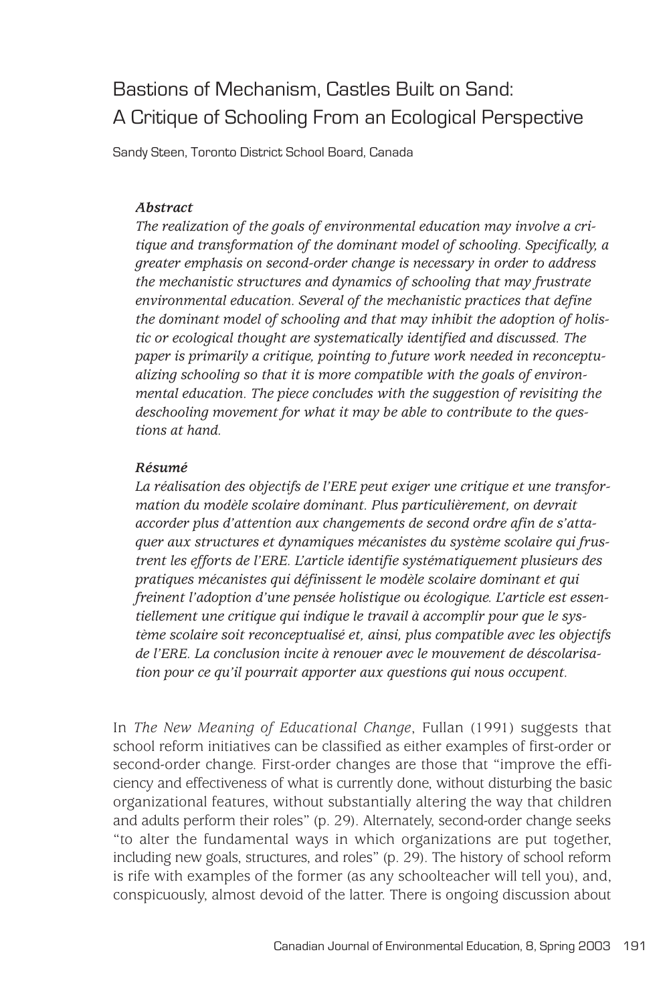# Bastions of Mechanism, Castles Built on Sand: A Critique of Schooling From an Ecological Perspective

Sandy Steen, Toronto District School Board, Canada

#### *Abstract*

*The realization of the goals of environmental education may involve a critique and transformation of the dominant model of schooling. Specifically, a greater emphasis on second-order change is necessary in order to address the mechanistic structures and dynamics of schooling that may frustrate environmental education. Several of the mechanistic practices that define the dominant model of schooling and that may inhibit the adoption of holistic or ecological thought are systematically identified and discussed. The paper is primarily a critique, pointing to future work needed in reconceptualizing schooling so that it is more compatible with the goals of environmental education. The piece concludes with the suggestion of revisiting the deschooling movement for what it may be able to contribute to the questions at hand.*

#### *Résumé*

*La réalisation des objectifs de l'ERE peut exiger une critique et une transformation du modèle scolaire dominant. Plus particulièrement, on devrait accorder plus d'attention aux changements de second ordre afin de s'attaquer aux structures et dynamiques mécanistes du système scolaire qui frustrent les efforts de l'ERE. L'article identifie systématiquement plusieurs des pratiques mécanistes qui définissent le modèle scolaire dominant et qui freinent l'adoption d'une pensée holistique ou écologique. L'article est essentiellement une critique qui indique le travail à accomplir pour que le système scolaire soit reconceptualisé et, ainsi, plus compatible avec les objectifs de l'ERE. La conclusion incite à renouer avec le mouvement de déscolarisation pour ce qu'il pourrait apporter aux questions qui nous occupent.* 

In *The New Meaning of Educational Change*, Fullan (1991) suggests that school reform initiatives can be classified as either examples of first-order or second-order change. First-order changes are those that "improve the efficiency and effectiveness of what is currently done, without disturbing the basic organizational features, without substantially altering the way that children and adults perform their roles" (p. 29). Alternately, second-order change seeks "to alter the fundamental ways in which organizations are put together, including new goals, structures, and roles" (p. 29). The history of school reform is rife with examples of the former (as any schoolteacher will tell you), and, conspicuously, almost devoid of the latter. There is ongoing discussion about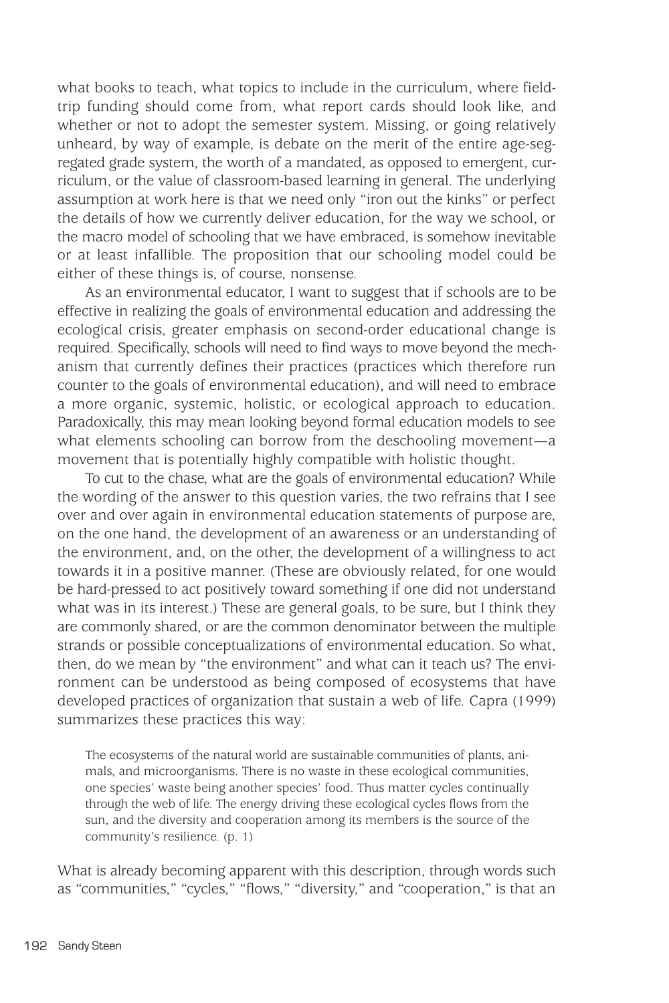what books to teach, what topics to include in the curriculum, where fieldtrip funding should come from, what report cards should look like, and whether or not to adopt the semester system. Missing, or going relatively unheard, by way of example, is debate on the merit of the entire age-segregated grade system, the worth of a mandated, as opposed to emergent, curriculum, or the value of classroom-based learning in general. The underlying assumption at work here is that we need only "iron out the kinks" or perfect the details of how we currently deliver education, for the way we school, or the macro model of schooling that we have embraced, is somehow inevitable or at least infallible. The proposition that our schooling model could be either of these things is, of course, nonsense.

As an environmental educator, I want to suggest that if schools are to be effective in realizing the goals of environmental education and addressing the ecological crisis, greater emphasis on second-order educational change is required. Specifically, schools will need to find ways to move beyond the mechanism that currently defines their practices (practices which therefore run counter to the goals of environmental education), and will need to embrace a more organic, systemic, holistic, or ecological approach to education. Paradoxically, this may mean looking beyond formal education models to see what elements schooling can borrow from the deschooling movement—a movement that is potentially highly compatible with holistic thought.

To cut to the chase, what are the goals of environmental education? While the wording of the answer to this question varies, the two refrains that I see over and over again in environmental education statements of purpose are, on the one hand, the development of an awareness or an understanding of the environment, and, on the other, the development of a willingness to act towards it in a positive manner. (These are obviously related, for one would be hard-pressed to act positively toward something if one did not understand what was in its interest.) These are general goals, to be sure, but I think they are commonly shared, or are the common denominator between the multiple strands or possible conceptualizations of environmental education. So what, then, do we mean by "the environment" and what can it teach us? The environment can be understood as being composed of ecosystems that have developed practices of organization that sustain a web of life. Capra (1999) summarizes these practices this way:

The ecosystems of the natural world are sustainable communities of plants, animals, and microorganisms. There is no waste in these ecological communities, one species' waste being another species' food. Thus matter cycles continually through the web of life. The energy driving these ecological cycles flows from the sun, and the diversity and cooperation among its members is the source of the community's resilience. (p. 1)

What is already becoming apparent with this description, through words such as "communities," "cycles," "flows," "diversity," and "cooperation," is that an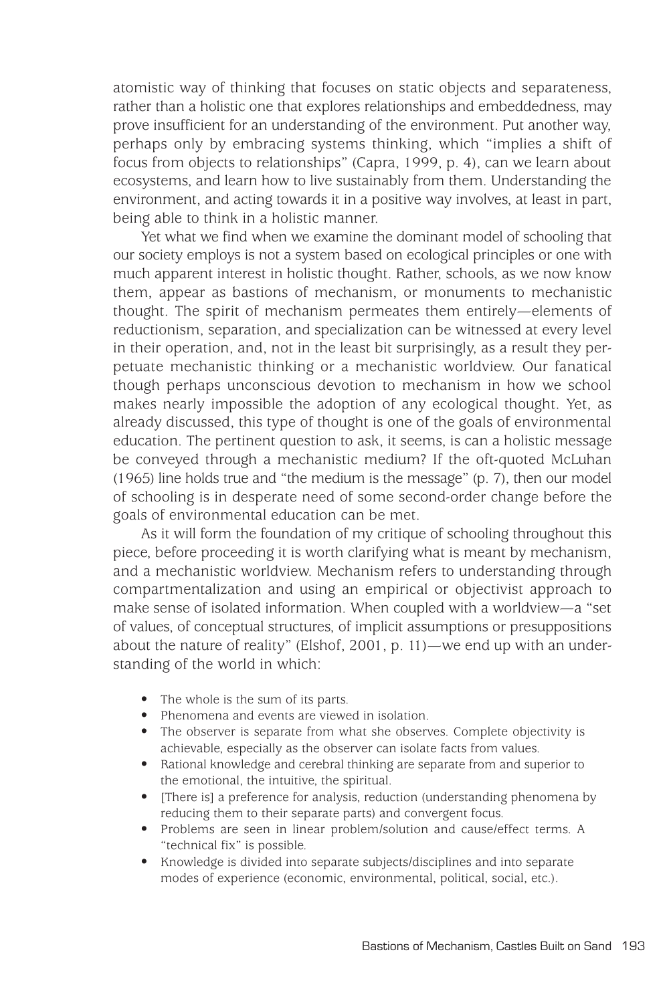atomistic way of thinking that focuses on static objects and separateness, rather than a holistic one that explores relationships and embeddedness, may prove insufficient for an understanding of the environment. Put another way, perhaps only by embracing systems thinking, which "implies a shift of focus from objects to relationships" (Capra, 1999, p. 4), can we learn about ecosystems, and learn how to live sustainably from them. Understanding the environment, and acting towards it in a positive way involves, at least in part, being able to think in a holistic manner.

Yet what we find when we examine the dominant model of schooling that our society employs is not a system based on ecological principles or one with much apparent interest in holistic thought. Rather, schools, as we now know them, appear as bastions of mechanism, or monuments to mechanistic thought. The spirit of mechanism permeates them entirely—elements of reductionism, separation, and specialization can be witnessed at every level in their operation, and, not in the least bit surprisingly, as a result they perpetuate mechanistic thinking or a mechanistic worldview. Our fanatical though perhaps unconscious devotion to mechanism in how we school makes nearly impossible the adoption of any ecological thought. Yet, as already discussed, this type of thought is one of the goals of environmental education. The pertinent question to ask, it seems, is can a holistic message be conveyed through a mechanistic medium? If the oft-quoted McLuhan (1965) line holds true and "the medium is the message" (p. 7), then our model of schooling is in desperate need of some second-order change before the goals of environmental education can be met.

As it will form the foundation of my critique of schooling throughout this piece, before proceeding it is worth clarifying what is meant by mechanism, and a mechanistic worldview. Mechanism refers to understanding through compartmentalization and using an empirical or objectivist approach to make sense of isolated information. When coupled with a worldview—a "set of values, of conceptual structures, of implicit assumptions or presuppositions about the nature of reality" (Elshof, 2001, p. 11)—we end up with an understanding of the world in which:

- The whole is the sum of its parts.
- Phenomena and events are viewed in isolation.
- The observer is separate from what she observes. Complete objectivity is achievable, especially as the observer can isolate facts from values.
- Rational knowledge and cerebral thinking are separate from and superior to the emotional, the intuitive, the spiritual.
- [There is] a preference for analysis, reduction (understanding phenomena by reducing them to their separate parts) and convergent focus.
- Problems are seen in linear problem/solution and cause/effect terms. A "technical fix" is possible.
- Knowledge is divided into separate subjects/disciplines and into separate modes of experience (economic, environmental, political, social, etc.).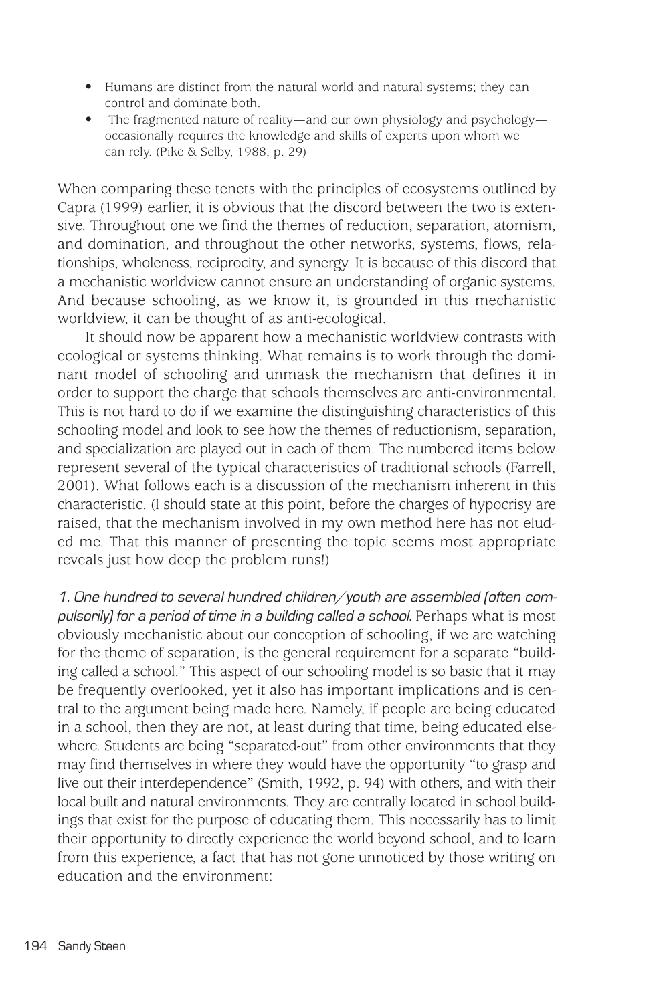- Humans are distinct from the natural world and natural systems; they can control and dominate both.
- The fragmented nature of reality—and our own physiology and psychology occasionally requires the knowledge and skills of experts upon whom we can rely. (Pike & Selby, 1988, p. 29)

When comparing these tenets with the principles of ecosystems outlined by Capra (1999) earlier, it is obvious that the discord between the two is extensive. Throughout one we find the themes of reduction, separation, atomism, and domination, and throughout the other networks, systems, flows, relationships, wholeness, reciprocity, and synergy. It is because of this discord that a mechanistic worldview cannot ensure an understanding of organic systems. And because schooling, as we know it, is grounded in this mechanistic worldview, it can be thought of as anti-ecological.

It should now be apparent how a mechanistic worldview contrasts with ecological or systems thinking. What remains is to work through the dominant model of schooling and unmask the mechanism that defines it in order to support the charge that schools themselves are anti-environmental. This is not hard to do if we examine the distinguishing characteristics of this schooling model and look to see how the themes of reductionism, separation, and specialization are played out in each of them. The numbered items below represent several of the typical characteristics of traditional schools (Farrell, 2001). What follows each is a discussion of the mechanism inherent in this characteristic. (I should state at this point, before the charges of hypocrisy are raised, that the mechanism involved in my own method here has not eluded me. That this manner of presenting the topic seems most appropriate reveals just how deep the problem runs!)

1. One hundred to several hundred children/youth are assembled (often compulsorily) for a period of time in a building called a school. Perhaps what is most obviously mechanistic about our conception of schooling, if we are watching for the theme of separation, is the general requirement for a separate "building called a school." This aspect of our schooling model is so basic that it may be frequently overlooked, yet it also has important implications and is central to the argument being made here. Namely, if people are being educated in a school, then they are not, at least during that time, being educated elsewhere. Students are being "separated-out" from other environments that they may find themselves in where they would have the opportunity "to grasp and live out their interdependence" (Smith, 1992, p. 94) with others, and with their local built and natural environments. They are centrally located in school buildings that exist for the purpose of educating them. This necessarily has to limit their opportunity to directly experience the world beyond school, and to learn from this experience, a fact that has not gone unnoticed by those writing on education and the environment: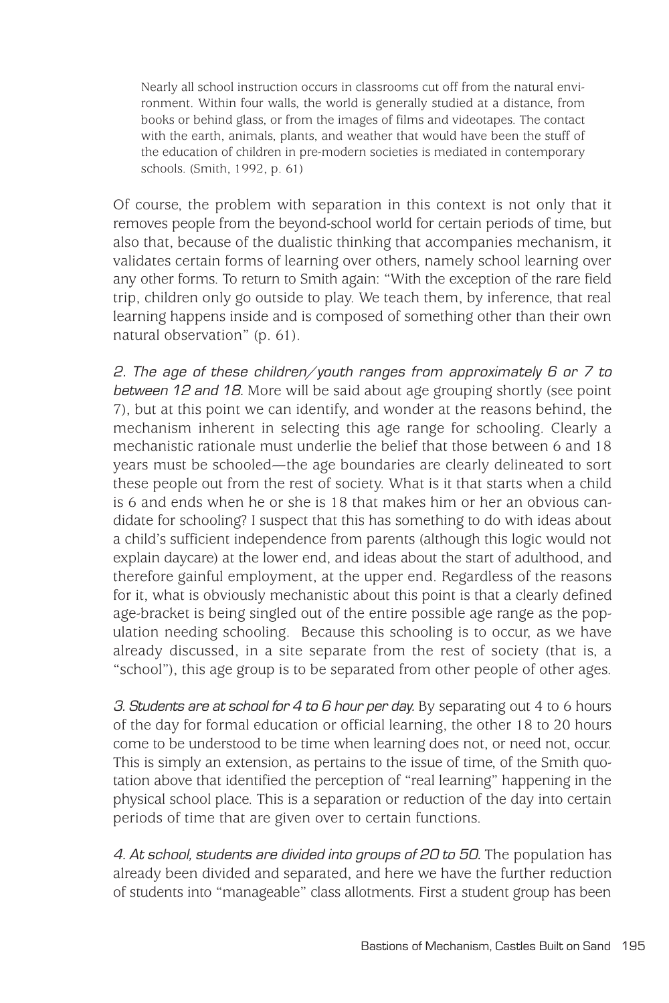Nearly all school instruction occurs in classrooms cut off from the natural environment. Within four walls, the world is generally studied at a distance, from books or behind glass, or from the images of films and videotapes. The contact with the earth, animals, plants, and weather that would have been the stuff of the education of children in pre-modern societies is mediated in contemporary schools. (Smith, 1992, p. 61)

Of course, the problem with separation in this context is not only that it removes people from the beyond-school world for certain periods of time, but also that, because of the dualistic thinking that accompanies mechanism, it validates certain forms of learning over others, namely school learning over any other forms. To return to Smith again: "With the exception of the rare field trip, children only go outside to play. We teach them, by inference, that real learning happens inside and is composed of something other than their own natural observation" (p. 61).

2. The age of these children/youth ranges from approximately 6 or 7 to between 12 and 18. More will be said about age grouping shortly (see point 7), but at this point we can identify, and wonder at the reasons behind, the mechanism inherent in selecting this age range for schooling. Clearly a mechanistic rationale must underlie the belief that those between 6 and 18 years must be schooled—the age boundaries are clearly delineated to sort these people out from the rest of society. What is it that starts when a child is 6 and ends when he or she is 18 that makes him or her an obvious candidate for schooling? I suspect that this has something to do with ideas about a child's sufficient independence from parents (although this logic would not explain daycare) at the lower end, and ideas about the start of adulthood, and therefore gainful employment, at the upper end. Regardless of the reasons for it, what is obviously mechanistic about this point is that a clearly defined age-bracket is being singled out of the entire possible age range as the population needing schooling. Because this schooling is to occur, as we have already discussed, in a site separate from the rest of society (that is, a "school"), this age group is to be separated from other people of other ages.

3. Students are at school for 4 to 6 hour per day. By separating out 4 to 6 hours of the day for formal education or official learning, the other 18 to 20 hours come to be understood to be time when learning does not, or need not, occur. This is simply an extension, as pertains to the issue of time, of the Smith quotation above that identified the perception of "real learning" happening in the physical school place. This is a separation or reduction of the day into certain periods of time that are given over to certain functions.

4. At school, students are divided into groups of 20 to 50. The population has already been divided and separated, and here we have the further reduction of students into "manageable" class allotments. First a student group has been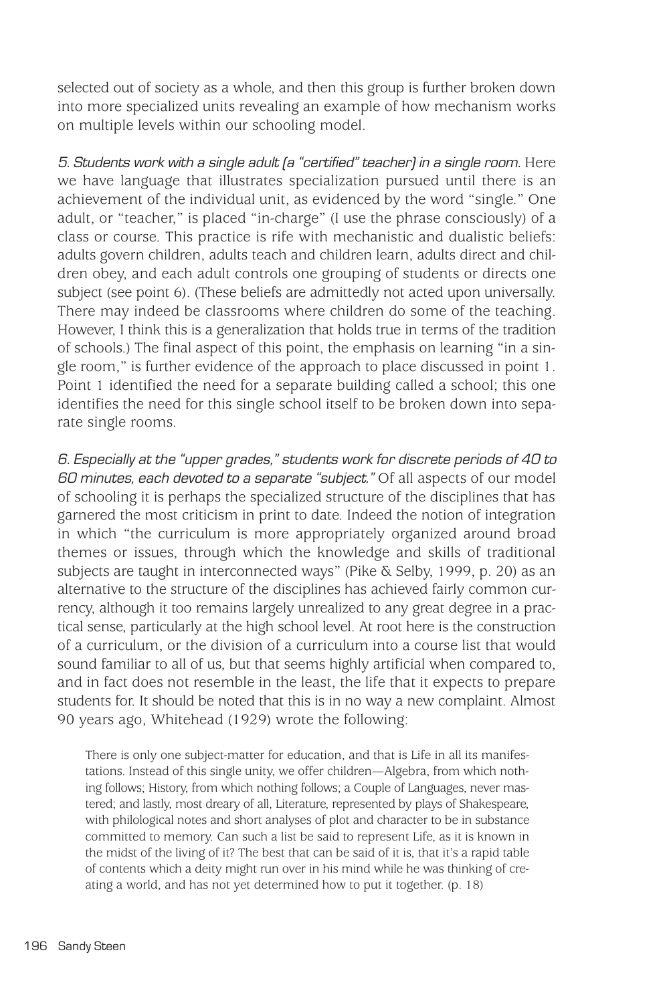selected out of society as a whole, and then this group is further broken down into more specialized units revealing an example of how mechanism works on multiple levels within our schooling model.

5. Students work with a single adult (a "certified" teacher) in a single room. Here we have language that illustrates specialization pursued until there is an achievement of the individual unit, as evidenced by the word "single." One adult, or "teacher," is placed "in-charge" (I use the phrase consciously) of a class or course. This practice is rife with mechanistic and dualistic beliefs: adults govern children, adults teach and children learn, adults direct and children obey, and each adult controls one grouping of students or directs one subject (see point 6). (These beliefs are admittedly not acted upon universally. There may indeed be classrooms where children do some of the teaching. However, I think this is a generalization that holds true in terms of the tradition of schools.) The final aspect of this point, the emphasis on learning "in a single room," is further evidence of the approach to place discussed in point 1. Point 1 identified the need for a separate building called a school; this one identifies the need for this single school itself to be broken down into separate single rooms.

6. Especially at the "upper grades," students work for discrete periods of 40 to 60 minutes, each devoted to a separate "subject." Of all aspects of our model of schooling it is perhaps the specialized structure of the disciplines that has garnered the most criticism in print to date. Indeed the notion of integration in which "the curriculum is more appropriately organized around broad themes or issues, through which the knowledge and skills of traditional subjects are taught in interconnected ways" (Pike & Selby, 1999, p. 20) as an alternative to the structure of the disciplines has achieved fairly common currency, although it too remains largely unrealized to any great degree in a practical sense, particularly at the high school level. At root here is the construction of a curriculum, or the division of a curriculum into a course list that would sound familiar to all of us, but that seems highly artificial when compared to, and in fact does not resemble in the least, the life that it expects to prepare students for. It should be noted that this is in no way a new complaint. Almost 90 years ago, Whitehead (1929) wrote the following:

There is only one subject-matter for education, and that is Life in all its manifestations. Instead of this single unity, we offer children—Algebra, from which nothing follows; History, from which nothing follows; a Couple of Languages, never mastered; and lastly, most dreary of all, Literature, represented by plays of Shakespeare, with philological notes and short analyses of plot and character to be in substance committed to memory. Can such a list be said to represent Life, as it is known in the midst of the living of it? The best that can be said of it is, that it's a rapid table of contents which a deity might run over in his mind while he was thinking of creating a world, and has not yet determined how to put it together. (p. 18)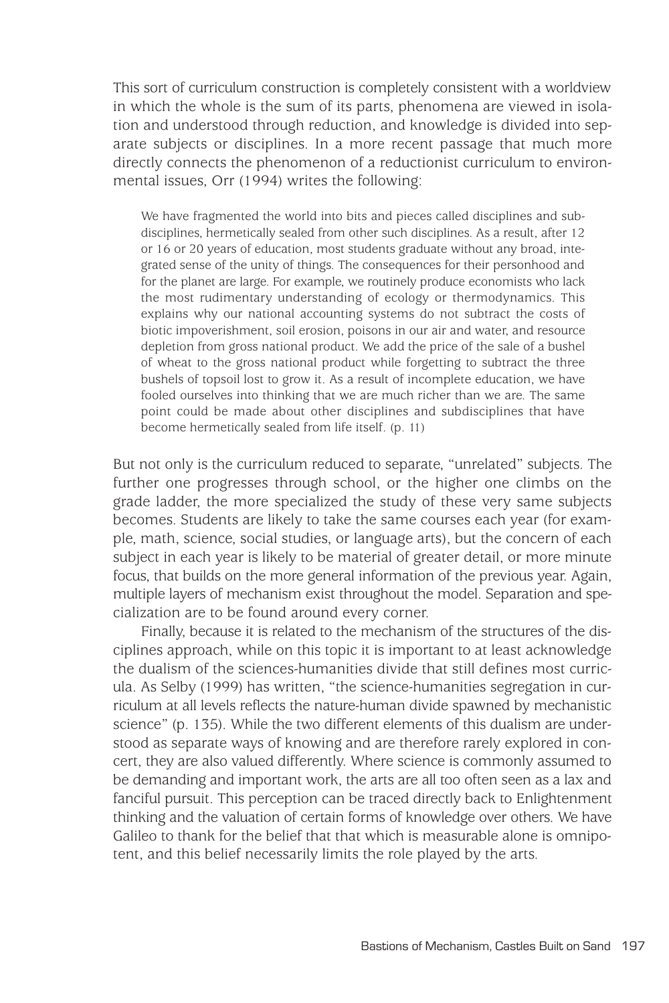This sort of curriculum construction is completely consistent with a worldview in which the whole is the sum of its parts, phenomena are viewed in isolation and understood through reduction, and knowledge is divided into separate subjects or disciplines. In a more recent passage that much more directly connects the phenomenon of a reductionist curriculum to environmental issues, Orr (1994) writes the following:

We have fragmented the world into bits and pieces called disciplines and subdisciplines, hermetically sealed from other such disciplines. As a result, after 12 or 16 or 20 years of education, most students graduate without any broad, integrated sense of the unity of things. The consequences for their personhood and for the planet are large. For example, we routinely produce economists who lack the most rudimentary understanding of ecology or thermodynamics. This explains why our national accounting systems do not subtract the costs of biotic impoverishment, soil erosion, poisons in our air and water, and resource depletion from gross national product. We add the price of the sale of a bushel of wheat to the gross national product while forgetting to subtract the three bushels of topsoil lost to grow it. As a result of incomplete education, we have fooled ourselves into thinking that we are much richer than we are. The same point could be made about other disciplines and subdisciplines that have become hermetically sealed from life itself. (p. 11)

But not only is the curriculum reduced to separate, "unrelated" subjects. The further one progresses through school, or the higher one climbs on the grade ladder, the more specialized the study of these very same subjects becomes. Students are likely to take the same courses each year (for example, math, science, social studies, or language arts), but the concern of each subject in each year is likely to be material of greater detail, or more minute focus, that builds on the more general information of the previous year. Again, multiple layers of mechanism exist throughout the model. Separation and specialization are to be found around every corner.

Finally, because it is related to the mechanism of the structures of the disciplines approach, while on this topic it is important to at least acknowledge the dualism of the sciences-humanities divide that still defines most curricula. As Selby (1999) has written, "the science-humanities segregation in curriculum at all levels reflects the nature-human divide spawned by mechanistic science" (p. 135). While the two different elements of this dualism are understood as separate ways of knowing and are therefore rarely explored in concert, they are also valued differently. Where science is commonly assumed to be demanding and important work, the arts are all too often seen as a lax and fanciful pursuit. This perception can be traced directly back to Enlightenment thinking and the valuation of certain forms of knowledge over others. We have Galileo to thank for the belief that that which is measurable alone is omnipotent, and this belief necessarily limits the role played by the arts.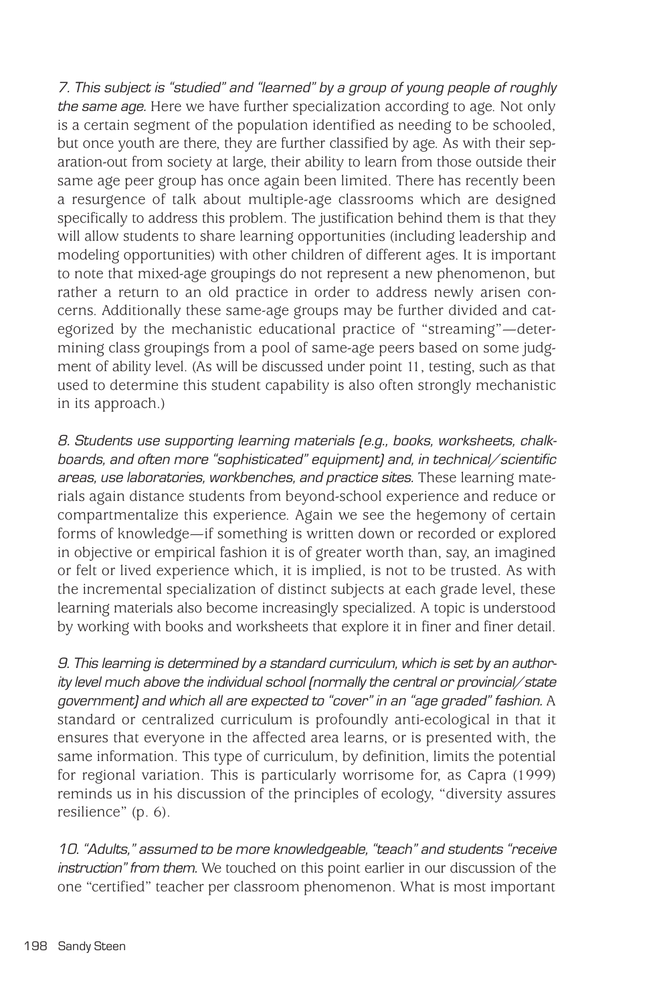7. This subject is "studied" and "learned" by a group of young people of roughly the same age. Here we have further specialization according to age. Not only is a certain segment of the population identified as needing to be schooled, but once youth are there, they are further classified by age. As with their separation-out from society at large, their ability to learn from those outside their same age peer group has once again been limited. There has recently been a resurgence of talk about multiple-age classrooms which are designed specifically to address this problem. The justification behind them is that they will allow students to share learning opportunities (including leadership and modeling opportunities) with other children of different ages. It is important to note that mixed-age groupings do not represent a new phenomenon, but rather a return to an old practice in order to address newly arisen concerns. Additionally these same-age groups may be further divided and categorized by the mechanistic educational practice of "streaming"—determining class groupings from a pool of same-age peers based on some judgment of ability level. (As will be discussed under point 11, testing, such as that used to determine this student capability is also often strongly mechanistic in its approach.)

8. Students use supporting learning materials (e.g., books, worksheets, chalkboards, and often more "sophisticated" equipment) and, in technical/scientific areas, use laboratories, workbenches, and practice sites. These learning materials again distance students from beyond-school experience and reduce or compartmentalize this experience. Again we see the hegemony of certain forms of knowledge—if something is written down or recorded or explored in objective or empirical fashion it is of greater worth than, say, an imagined or felt or lived experience which, it is implied, is not to be trusted. As with the incremental specialization of distinct subjects at each grade level, these learning materials also become increasingly specialized. A topic is understood by working with books and worksheets that explore it in finer and finer detail.

9. This learning is determined by a standard curriculum, which is set by an authority level much above the individual school (normally the central or provincial/state government) and which all are expected to "cover" in an "age graded" fashion. A standard or centralized curriculum is profoundly anti-ecological in that it ensures that everyone in the affected area learns, or is presented with, the same information. This type of curriculum, by definition, limits the potential for regional variation. This is particularly worrisome for, as Capra (1999) reminds us in his discussion of the principles of ecology, "diversity assures resilience" (p. 6).

10. "Adults," assumed to be more knowledgeable, "teach" and students "receive instruction" from them. We touched on this point earlier in our discussion of the one "certified" teacher per classroom phenomenon. What is most important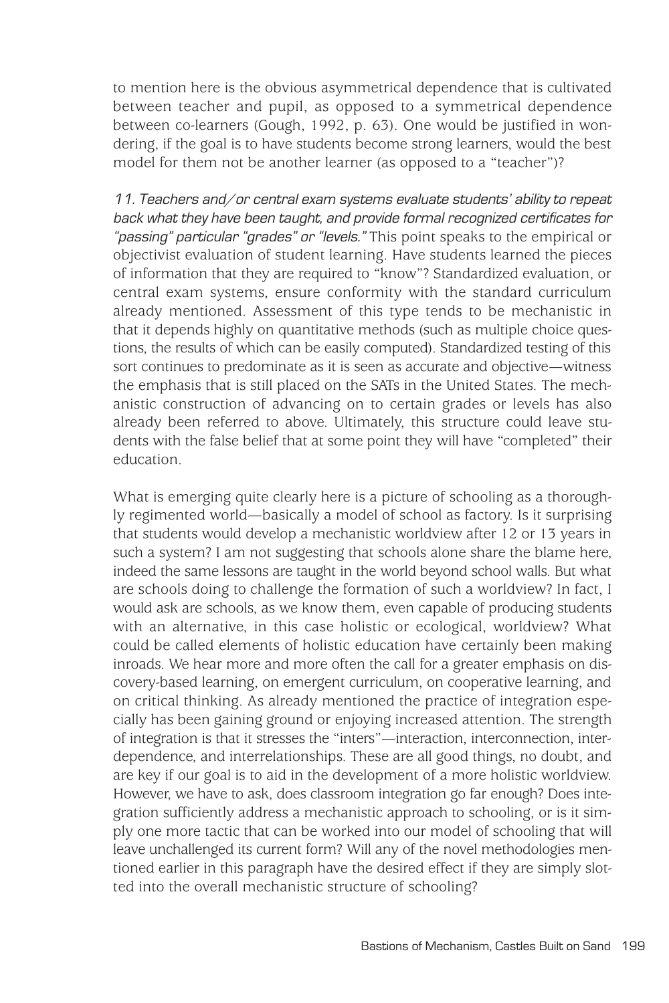to mention here is the obvious asymmetrical dependence that is cultivated between teacher and pupil, as opposed to a symmetrical dependence between co-learners (Gough, 1992, p. 63). One would be justified in wondering, if the goal is to have students become strong learners, would the best model for them not be another learner (as opposed to a "teacher")?

11. Teachers and/or central exam systems evaluate students' ability to repeat back what they have been taught, and provide formal recognized certificates for "passing" particular "grades" or "levels." This point speaks to the empirical or objectivist evaluation of student learning. Have students learned the pieces of information that they are required to "know"? Standardized evaluation, or central exam systems, ensure conformity with the standard curriculum already mentioned. Assessment of this type tends to be mechanistic in that it depends highly on quantitative methods (such as multiple choice questions, the results of which can be easily computed). Standardized testing of this sort continues to predominate as it is seen as accurate and objective—witness the emphasis that is still placed on the SATs in the United States. The mechanistic construction of advancing on to certain grades or levels has also already been referred to above. Ultimately, this structure could leave students with the false belief that at some point they will have "completed" their education.

What is emerging quite clearly here is a picture of schooling as a thoroughly regimented world—basically a model of school as factory. Is it surprising that students would develop a mechanistic worldview after 12 or 13 years in such a system? I am not suggesting that schools alone share the blame here, indeed the same lessons are taught in the world beyond school walls. But what are schools doing to challenge the formation of such a worldview? In fact, I would ask are schools, as we know them, even capable of producing students with an alternative, in this case holistic or ecological, worldview? What could be called elements of holistic education have certainly been making inroads. We hear more and more often the call for a greater emphasis on discovery-based learning, on emergent curriculum, on cooperative learning, and on critical thinking. As already mentioned the practice of integration especially has been gaining ground or enjoying increased attention. The strength of integration is that it stresses the "inters"—interaction, interconnection, interdependence, and interrelationships. These are all good things, no doubt, and are key if our goal is to aid in the development of a more holistic worldview. However, we have to ask, does classroom integration go far enough? Does integration sufficiently address a mechanistic approach to schooling, or is it simply one more tactic that can be worked into our model of schooling that will leave unchallenged its current form? Will any of the novel methodologies mentioned earlier in this paragraph have the desired effect if they are simply slotted into the overall mechanistic structure of schooling?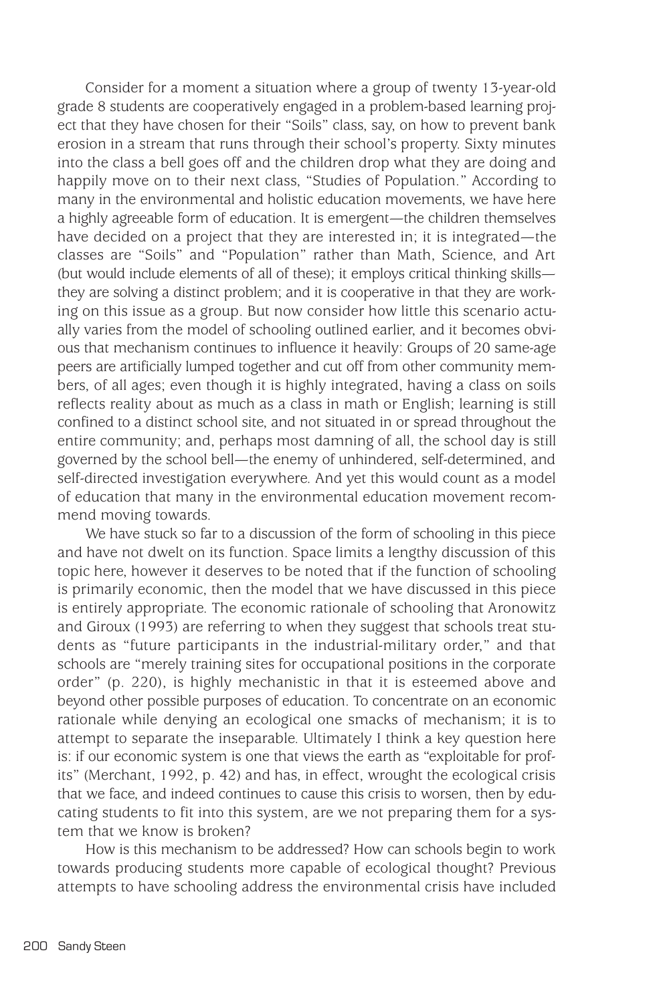Consider for a moment a situation where a group of twenty 13-year-old grade 8 students are cooperatively engaged in a problem-based learning project that they have chosen for their "Soils" class, say, on how to prevent bank erosion in a stream that runs through their school's property. Sixty minutes into the class a bell goes off and the children drop what they are doing and happily move on to their next class, "Studies of Population." According to many in the environmental and holistic education movements, we have here a highly agreeable form of education. It is emergent—the children themselves have decided on a project that they are interested in; it is integrated—the classes are "Soils" and "Population" rather than Math, Science, and Art (but would include elements of all of these); it employs critical thinking skills they are solving a distinct problem; and it is cooperative in that they are working on this issue as a group. But now consider how little this scenario actually varies from the model of schooling outlined earlier, and it becomes obvious that mechanism continues to influence it heavily: Groups of 20 same-age peers are artificially lumped together and cut off from other community members, of all ages; even though it is highly integrated, having a class on soils reflects reality about as much as a class in math or English; learning is still confined to a distinct school site, and not situated in or spread throughout the entire community; and, perhaps most damning of all, the school day is still governed by the school bell—the enemy of unhindered, self-determined, and self-directed investigation everywhere. And yet this would count as a model of education that many in the environmental education movement recommend moving towards.

We have stuck so far to a discussion of the form of schooling in this piece and have not dwelt on its function. Space limits a lengthy discussion of this topic here, however it deserves to be noted that if the function of schooling is primarily economic, then the model that we have discussed in this piece is entirely appropriate. The economic rationale of schooling that Aronowitz and Giroux (1993) are referring to when they suggest that schools treat students as "future participants in the industrial-military order," and that schools are "merely training sites for occupational positions in the corporate order" (p. 220), is highly mechanistic in that it is esteemed above and beyond other possible purposes of education. To concentrate on an economic rationale while denying an ecological one smacks of mechanism; it is to attempt to separate the inseparable. Ultimately I think a key question here is: if our economic system is one that views the earth as "exploitable for profits" (Merchant, 1992, p. 42) and has, in effect, wrought the ecological crisis that we face, and indeed continues to cause this crisis to worsen, then by educating students to fit into this system, are we not preparing them for a system that we know is broken?

How is this mechanism to be addressed? How can schools begin to work towards producing students more capable of ecological thought? Previous attempts to have schooling address the environmental crisis have included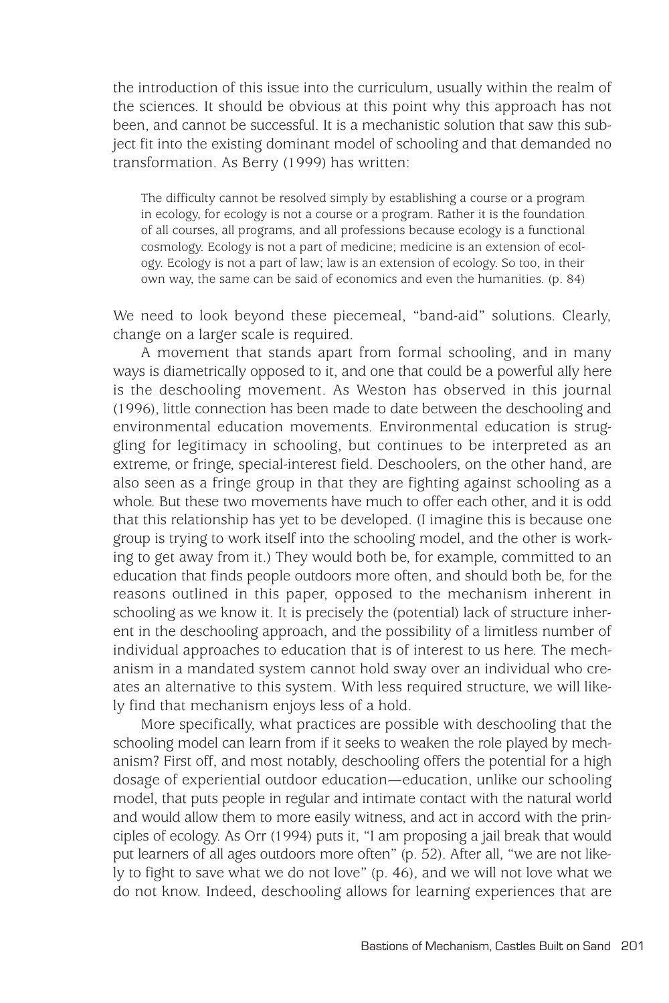the introduction of this issue into the curriculum, usually within the realm of the sciences. It should be obvious at this point why this approach has not been, and cannot be successful. It is a mechanistic solution that saw this subject fit into the existing dominant model of schooling and that demanded no transformation. As Berry (1999) has written:

The difficulty cannot be resolved simply by establishing a course or a program in ecology, for ecology is not a course or a program. Rather it is the foundation of all courses, all programs, and all professions because ecology is a functional cosmology. Ecology is not a part of medicine; medicine is an extension of ecology. Ecology is not a part of law; law is an extension of ecology. So too, in their own way, the same can be said of economics and even the humanities. (p. 84)

We need to look beyond these piecemeal, "band-aid" solutions. Clearly, change on a larger scale is required.

A movement that stands apart from formal schooling, and in many ways is diametrically opposed to it, and one that could be a powerful ally here is the deschooling movement. As Weston has observed in this journal (1996), little connection has been made to date between the deschooling and environmental education movements. Environmental education is struggling for legitimacy in schooling, but continues to be interpreted as an extreme, or fringe, special-interest field. Deschoolers, on the other hand, are also seen as a fringe group in that they are fighting against schooling as a whole. But these two movements have much to offer each other, and it is odd that this relationship has yet to be developed. (I imagine this is because one group is trying to work itself into the schooling model, and the other is working to get away from it.) They would both be, for example, committed to an education that finds people outdoors more often, and should both be, for the reasons outlined in this paper, opposed to the mechanism inherent in schooling as we know it. It is precisely the (potential) lack of structure inherent in the deschooling approach, and the possibility of a limitless number of individual approaches to education that is of interest to us here. The mechanism in a mandated system cannot hold sway over an individual who creates an alternative to this system. With less required structure, we will likely find that mechanism enjoys less of a hold.

More specifically, what practices are possible with deschooling that the schooling model can learn from if it seeks to weaken the role played by mechanism? First off, and most notably, deschooling offers the potential for a high dosage of experiential outdoor education—education, unlike our schooling model, that puts people in regular and intimate contact with the natural world and would allow them to more easily witness, and act in accord with the principles of ecology. As Orr (1994) puts it, "I am proposing a jail break that would put learners of all ages outdoors more often" (p. 52). After all, "we are not likely to fight to save what we do not love" (p. 46), and we will not love what we do not know. Indeed, deschooling allows for learning experiences that are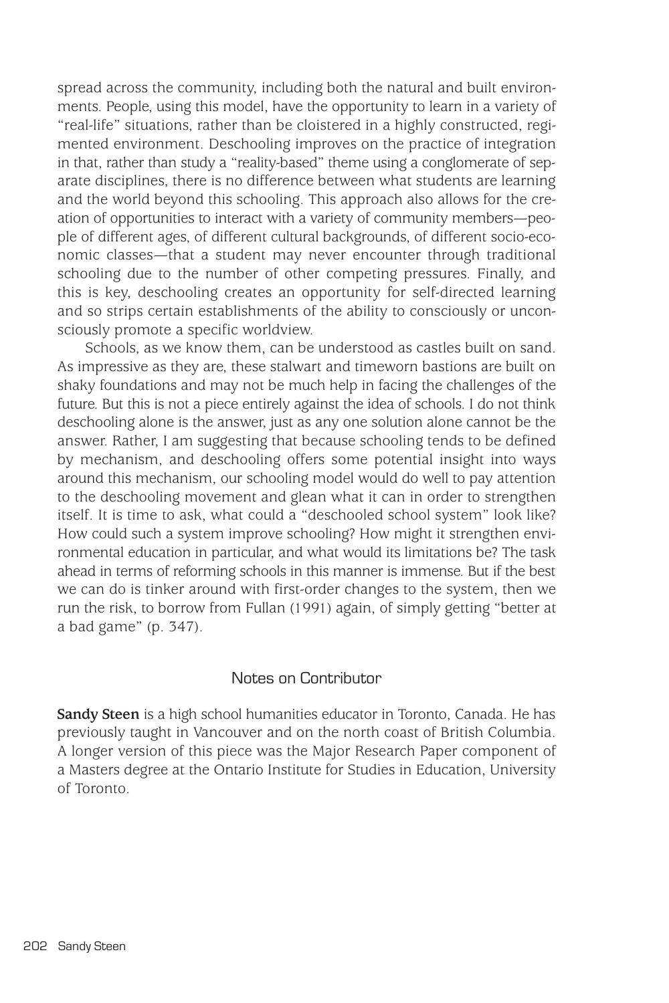spread across the community, including both the natural and built environments. People, using this model, have the opportunity to learn in a variety of "real-life" situations, rather than be cloistered in a highly constructed, regimented environment. Deschooling improves on the practice of integration in that, rather than study a "reality-based" theme using a conglomerate of separate disciplines, there is no difference between what students are learning and the world beyond this schooling. This approach also allows for the creation of opportunities to interact with a variety of community members—people of different ages, of different cultural backgrounds, of different socio-economic classes—that a student may never encounter through traditional schooling due to the number of other competing pressures. Finally, and this is key, deschooling creates an opportunity for self-directed learning and so strips certain establishments of the ability to consciously or unconsciously promote a specific worldview.

Schools, as we know them, can be understood as castles built on sand. As impressive as they are, these stalwart and timeworn bastions are built on shaky foundations and may not be much help in facing the challenges of the future. But this is not a piece entirely against the idea of schools. I do not think deschooling alone is the answer, just as any one solution alone cannot be the answer. Rather, I am suggesting that because schooling tends to be defined by mechanism, and deschooling offers some potential insight into ways around this mechanism, our schooling model would do well to pay attention to the deschooling movement and glean what it can in order to strengthen itself. It is time to ask, what could a "deschooled school system" look like? How could such a system improve schooling? How might it strengthen environmental education in particular, and what would its limitations be? The task ahead in terms of reforming schools in this manner is immense. But if the best we can do is tinker around with first-order changes to the system, then we run the risk, to borrow from Fullan (1991) again, of simply getting "better at a bad game" (p. 347).

## Notes on Contributor

**Sandy Steen** is a high school humanities educator in Toronto, Canada. He has previously taught in Vancouver and on the north coast of British Columbia. A longer version of this piece was the Major Research Paper component of a Masters degree at the Ontario Institute for Studies in Education, University of Toronto.